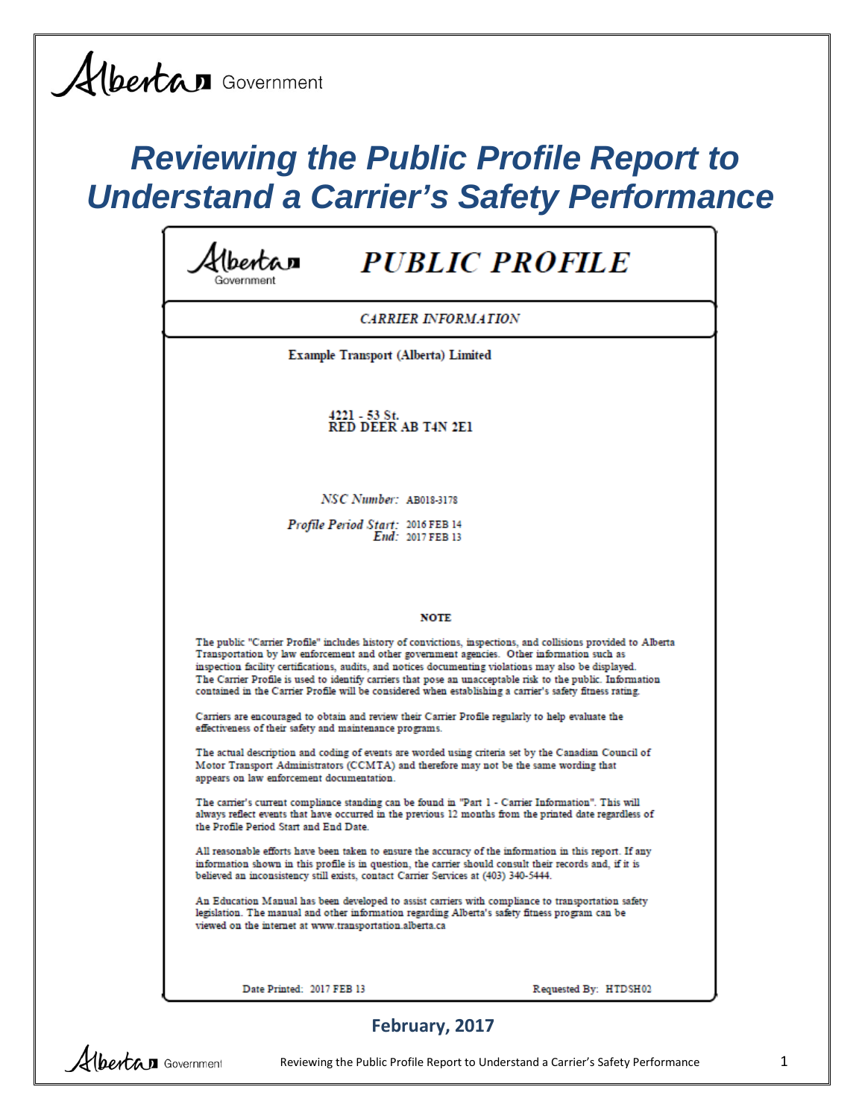Albertan Government

# *Reviewing the Public Profile Report to Understand a Carrier's Safety Performance*

| <b>PUBLIC PROFILE</b><br>ntan                                                                                                                                                                                                                                                                                                                                                                                                                                                                                                                  |  |
|------------------------------------------------------------------------------------------------------------------------------------------------------------------------------------------------------------------------------------------------------------------------------------------------------------------------------------------------------------------------------------------------------------------------------------------------------------------------------------------------------------------------------------------------|--|
| <b>CARRIER INFORMATION</b>                                                                                                                                                                                                                                                                                                                                                                                                                                                                                                                     |  |
| <b>Example Transport (Alberta) Limited</b>                                                                                                                                                                                                                                                                                                                                                                                                                                                                                                     |  |
| 4221 - 53 St.<br><b>RED DEER AB T4N 2E1</b>                                                                                                                                                                                                                                                                                                                                                                                                                                                                                                    |  |
| NSC Number: AB018-3178                                                                                                                                                                                                                                                                                                                                                                                                                                                                                                                         |  |
| Profile Period Start: 2016 FEB 14<br>End: 2017 FEB 13                                                                                                                                                                                                                                                                                                                                                                                                                                                                                          |  |
|                                                                                                                                                                                                                                                                                                                                                                                                                                                                                                                                                |  |
| <b>NOTE</b>                                                                                                                                                                                                                                                                                                                                                                                                                                                                                                                                    |  |
| The public "Carrier Profile" includes history of convictions, inspections, and collisions provided to Alberta<br>Transportation by law enforcement and other government agencies. Other information such as<br>inspection facility certifications, audits, and notices documenting violations may also be displayed.<br>The Carrier Profile is used to identify carriers that pose an unacceptable risk to the public. Information<br>contained in the Carrier Profile will be considered when establishing a carrier's safety fitness rating. |  |
| Carriers are encouraged to obtain and review their Carrier Profile regularly to help evaluate the<br>effectiveness of their safety and maintenance programs.                                                                                                                                                                                                                                                                                                                                                                                   |  |
| The actual description and coding of events are worded using criteria set by the Canadian Council of<br>Motor Transport Administrators (CCMTA) and therefore may not be the same wording that<br>appears on law enforcement documentation.                                                                                                                                                                                                                                                                                                     |  |
| The carrier's current compliance standing can be found in "Part 1 - Carrier Information". This will<br>always reflect events that have occurred in the previous 12 months from the printed date regardless of<br>the Profile Period Start and End Date.                                                                                                                                                                                                                                                                                        |  |
| All reasonable efforts have been taken to ensure the accuracy of the information in this report. If any<br>information shown in this profile is in question, the carrier should consult their records and, if it is<br>believed an inconsistency still exists, contact Carrier Services at (403) 340-5444.                                                                                                                                                                                                                                     |  |
| An Education Manual has been developed to assist carriers with compliance to transportation safety<br>legislation. The manual and other information regarding Alberta's safety fitness program can be<br>viewed on the internet at www.transportation.alberta.ca                                                                                                                                                                                                                                                                               |  |
| Date Printed: 2017 FEB 13<br>Requested By: HTDSH02                                                                                                                                                                                                                                                                                                                                                                                                                                                                                             |  |

### **February, 2017**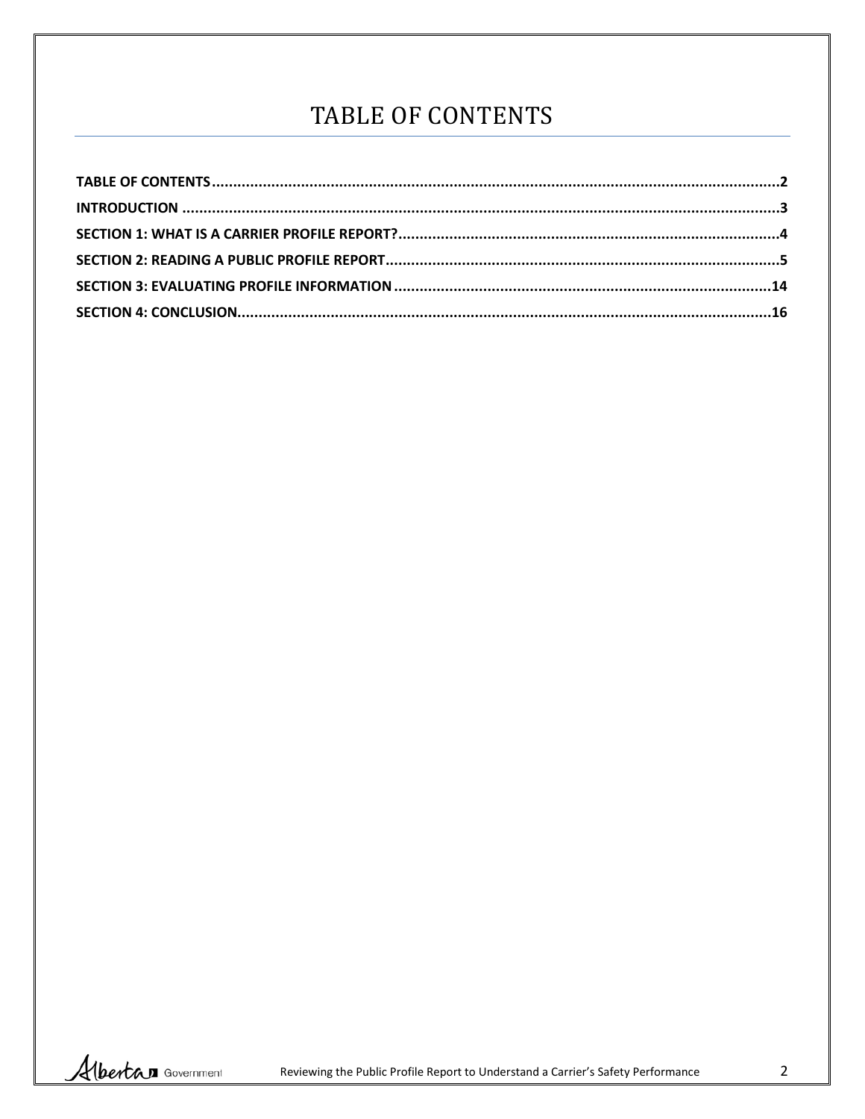# TABLE OF CONTENTS

<span id="page-1-0"></span>

Albertan Government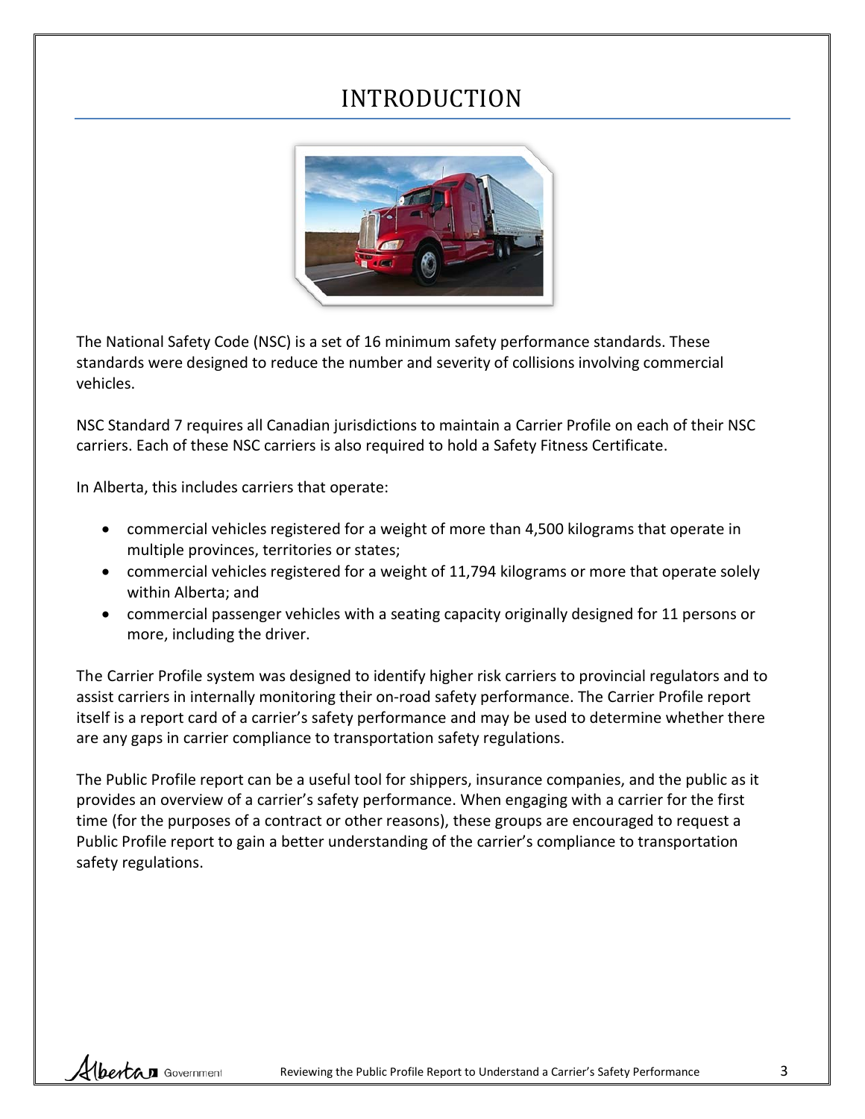### INTRODUCTION

<span id="page-2-0"></span>

The National Safety Code (NSC) is a set of 16 minimum safety performance standards. These standards were designed to reduce the number and severity of collisions involving commercial vehicles.

NSC Standard 7 requires all Canadian jurisdictions to maintain a Carrier Profile on each of their NSC carriers. Each of these NSC carriers is also required to hold a Safety Fitness Certificate.

In Alberta, this includes carriers that operate:

- commercial vehicles registered for a weight of more than 4,500 kilograms that operate in multiple provinces, territories or states;
- commercial vehicles registered for a weight of 11,794 kilograms or more that operate solely within Alberta; and
- commercial passenger vehicles with a seating capacity originally designed for 11 persons or more, including the driver.

The Carrier Profile system was designed to identify higher risk carriers to provincial regulators and to assist carriers in internally monitoring their on-road safety performance. The Carrier Profile report itself is a report card of a carrier's safety performance and may be used to determine whether there are any gaps in carrier compliance to transportation safety regulations.

The Public Profile report can be a useful tool for shippers, insurance companies, and the public as it provides an overview of a carrier's safety performance. When engaging with a carrier for the first time (for the purposes of a contract or other reasons), these groups are encouraged to request a Public Profile report to gain a better understanding of the carrier's compliance to transportation safety regulations.

Hbertan Government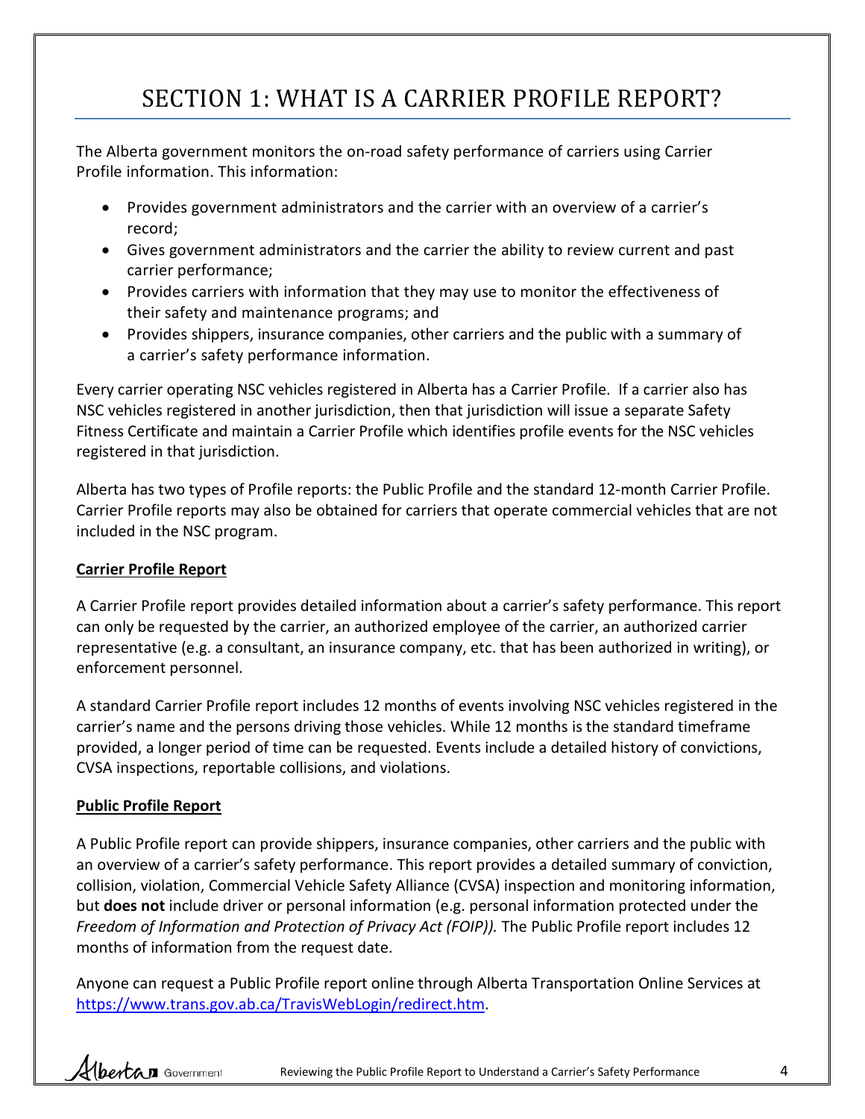# SECTION 1: WHAT IS A CARRIER PROFILE REPORT?

<span id="page-3-0"></span>The Alberta government monitors the on-road safety performance of carriers using Carrier Profile information. This information:

- Provides government administrators and the carrier with an overview of a carrier's record;
- Gives government administrators and the carrier the ability to review current and past carrier performance;
- Provides carriers with information that they may use to monitor the effectiveness of their safety and maintenance programs; and
- Provides shippers, insurance companies, other carriers and the public with a summary of a carrier's safety performance information.

Every carrier operating NSC vehicles registered in Alberta has a Carrier Profile. If a carrier also has NSC vehicles registered in another jurisdiction, then that jurisdiction will issue a separate Safety Fitness Certificate and maintain a Carrier Profile which identifies profile events for the NSC vehicles registered in that jurisdiction.

Alberta has two types of Profile reports: the Public Profile and the standard 12-month Carrier Profile. Carrier Profile reports may also be obtained for carriers that operate commercial vehicles that are not included in the NSC program.

#### **Carrier Profile Report**

A Carrier Profile report provides detailed information about a carrier's safety performance. This report can only be requested by the carrier, an authorized employee of the carrier, an authorized carrier representative (e.g. a consultant, an insurance company, etc. that has been authorized in writing), or enforcement personnel.

A standard Carrier Profile report includes 12 months of events involving NSC vehicles registered in the carrier's name and the persons driving those vehicles. While 12 months is the standard timeframe provided, a longer period of time can be requested. Events include a detailed history of convictions, CVSA inspections, reportable collisions, and violations.

#### **Public Profile Report**

A Public Profile report can provide shippers, insurance companies, other carriers and the public with an overview of a carrier's safety performance. This report provides a detailed summary of conviction, collision, violation, Commercial Vehicle Safety Alliance (CVSA) inspection and monitoring information, but **does not** include driver or personal information (e.g. personal information protected under the *Freedom of Information and Protection of Privacy Act (FOIP)).* The Public Profile report includes 12 months of information from the request date.

Anyone can request a Public Profile report online through Alberta Transportation Online Services at [https://www.trans.gov.ab.ca/TravisWebLogin/redirect.htm.](https://www.trans.gov.ab.ca/TravisWebLogin/redirect.htm)

Albertan Government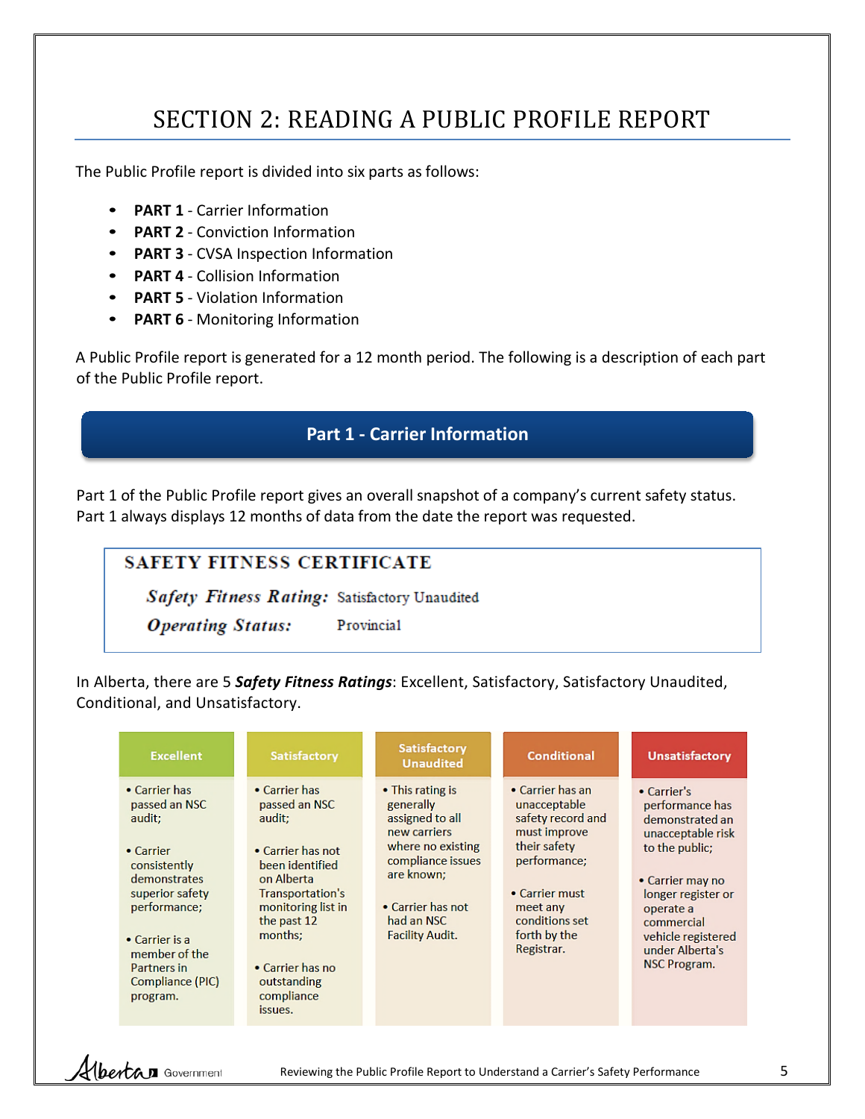# SECTION 2: READING A PUBLIC PROFILE REPORT

<span id="page-4-0"></span>The Public Profile report is divided into six parts as follows:

- **PART 1** Carrier Information
- **PART 2** Conviction Information
- **PART 3** CVSA Inspection Information
- **PART 4** Collision Information
- **PART 5** Violation Information
- **PART 6** Monitoring Information

A Public Profile report is generated for a 12 month period. The following is a description of each part of the Public Profile report.

### **Part 1 - Carrier Information**

Part 1 of the Public Profile report gives an overall snapshot of a company's current safety status. Part 1 always displays 12 months of data from the date the report was requested.

| SAFETY FITNESS CERTIFICATE                           |            |
|------------------------------------------------------|------------|
| <b>Safety Fitness Rating: Satisfactory Unaudited</b> |            |
| <b>Operating Status:</b>                             | Provincial |

In Alberta, there are 5 *Safety Fitness Ratings*: Excellent, Satisfactory, Satisfactory Unaudited, Conditional, and Unsatisfactory.

| <b>Excellent</b>                                                                                                                                                                                           | <b>Satisfactory</b>                                                                                                                                                                                                            | <b>Satisfactory</b><br><b>Unaudited</b>                                                                                                                                               | <b>Conditional</b>                                                                                                                                                                  | <b>Unsatisfactory</b>                                                                                                                                                                                                         |
|------------------------------------------------------------------------------------------------------------------------------------------------------------------------------------------------------------|--------------------------------------------------------------------------------------------------------------------------------------------------------------------------------------------------------------------------------|---------------------------------------------------------------------------------------------------------------------------------------------------------------------------------------|-------------------------------------------------------------------------------------------------------------------------------------------------------------------------------------|-------------------------------------------------------------------------------------------------------------------------------------------------------------------------------------------------------------------------------|
| • Carrier has<br>passed an NSC<br>audit;<br>• Carrier<br>consistently<br>demonstrates<br>superior safety<br>performance;<br>• Carrier is a<br>member of the<br>Partners in<br>Compliance (PIC)<br>program. | • Carrier has<br>passed an NSC<br>audit;<br>• Carrier has not<br>been identified<br>on Alberta<br>Transportation's<br>monitoring list in<br>the past 12<br>months;<br>• Carrier has no<br>outstanding<br>compliance<br>issues. | • This rating is<br>generally<br>assigned to all<br>new carriers<br>where no existing<br>compliance issues<br>are known;<br>• Carrier has not<br>had an NSC<br><b>Facility Audit.</b> | • Carrier has an<br>unacceptable<br>safety record and<br>must improve<br>their safety<br>performance;<br>• Carrier must<br>meet any<br>conditions set<br>forth by the<br>Registrar. | • Carrier's<br>performance has<br>demonstrated an<br>unacceptable risk<br>to the public;<br>• Carrier may no<br>longer register or<br>operate a<br>commercial<br>vehicle registered<br>under Alberta's<br><b>NSC Program.</b> |

Hbertan Government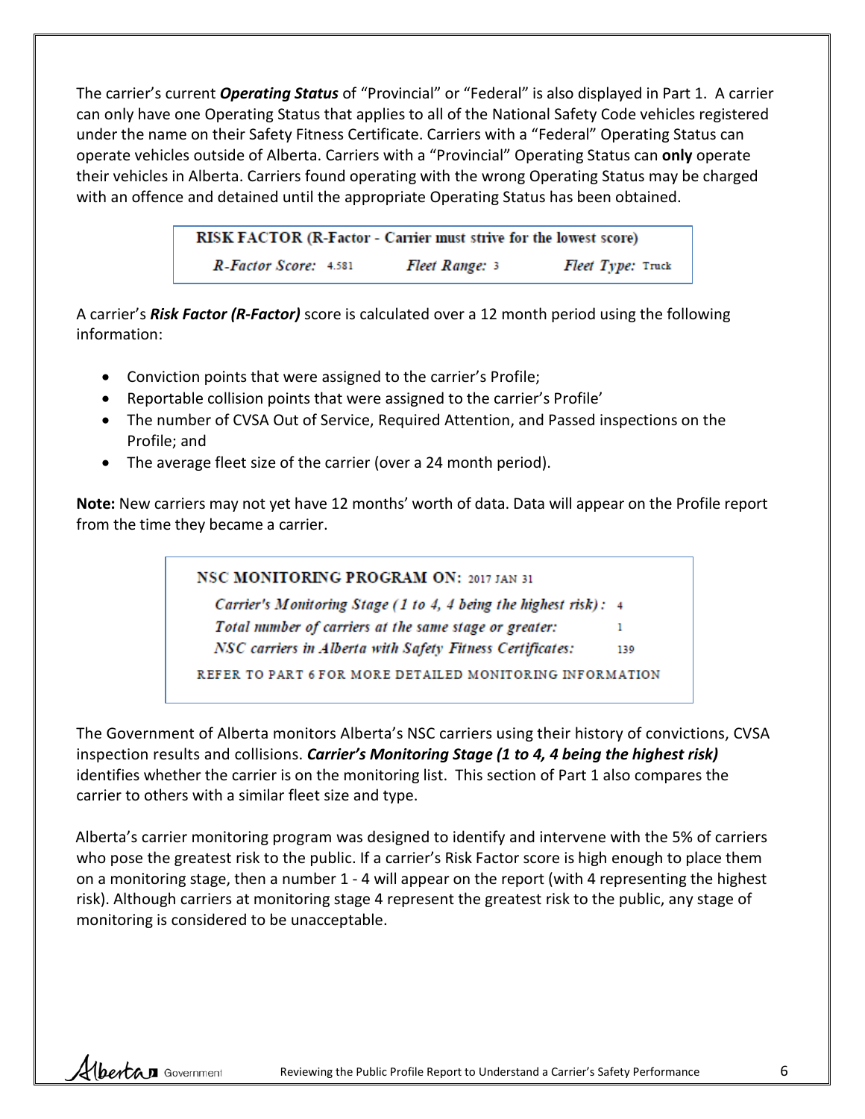The carrier's current *Operating Status* of "Provincial" or "Federal" is also displayed in Part 1. A carrier can only have one Operating Status that applies to all of the National Safety Code vehicles registered under the name on their Safety Fitness Certificate. Carriers with a "Federal" Operating Status can operate vehicles outside of Alberta. Carriers with a "Provincial" Operating Status can **only** operate their vehicles in Alberta. Carriers found operating with the wrong Operating Status may be charged with an offence and detained until the appropriate Operating Status has been obtained.

> RISK FACTOR (R-Factor - Carrier must strive for the lowest score) R-Factor Score: 4.581 Fleet Range: 3 Fleet Type: Truck

A carrier's *Risk Factor (R-Factor)* score is calculated over a 12 month period using the following information:

- Conviction points that were assigned to the carrier's Profile;
- Reportable collision points that were assigned to the carrier's Profile'
- The number of CVSA Out of Service, Required Attention, and Passed inspections on the Profile; and
- The average fleet size of the carrier (over a 24 month period).

**Note:** New carriers may not yet have 12 months' worth of data. Data will appear on the Profile report from the time they became a carrier.

NSC MONITORING PROGRAM ON: 2017 JAN 31

Carrier's Monitoring Stage (1 to 4, 4 being the highest risk): 4 Total number of carriers at the same stage or greater: ı.

NSC carriers in Alberta with Safety Fitness Certificates: 139

REFER TO PART 6 FOR MORE DETAILED MONITORING INFORMATION

The Government of Alberta monitors Alberta's NSC carriers using their history of convictions, CVSA inspection results and collisions. *Carrier's Monitoring Stage (1 to 4, 4 being the highest risk)* identifies whether the carrier is on the monitoring list. This section of Part 1 also compares the carrier to others with a similar fleet size and type.

Alberta's carrier monitoring program was designed to identify and intervene with the 5% of carriers who pose the greatest risk to the public. If a carrier's Risk Factor score is high enough to place them on a monitoring stage, then a number 1 - 4 will appear on the report (with 4 representing the highest risk). Although carriers at monitoring stage 4 represent the greatest risk to the public, any stage of monitoring is considered to be unacceptable.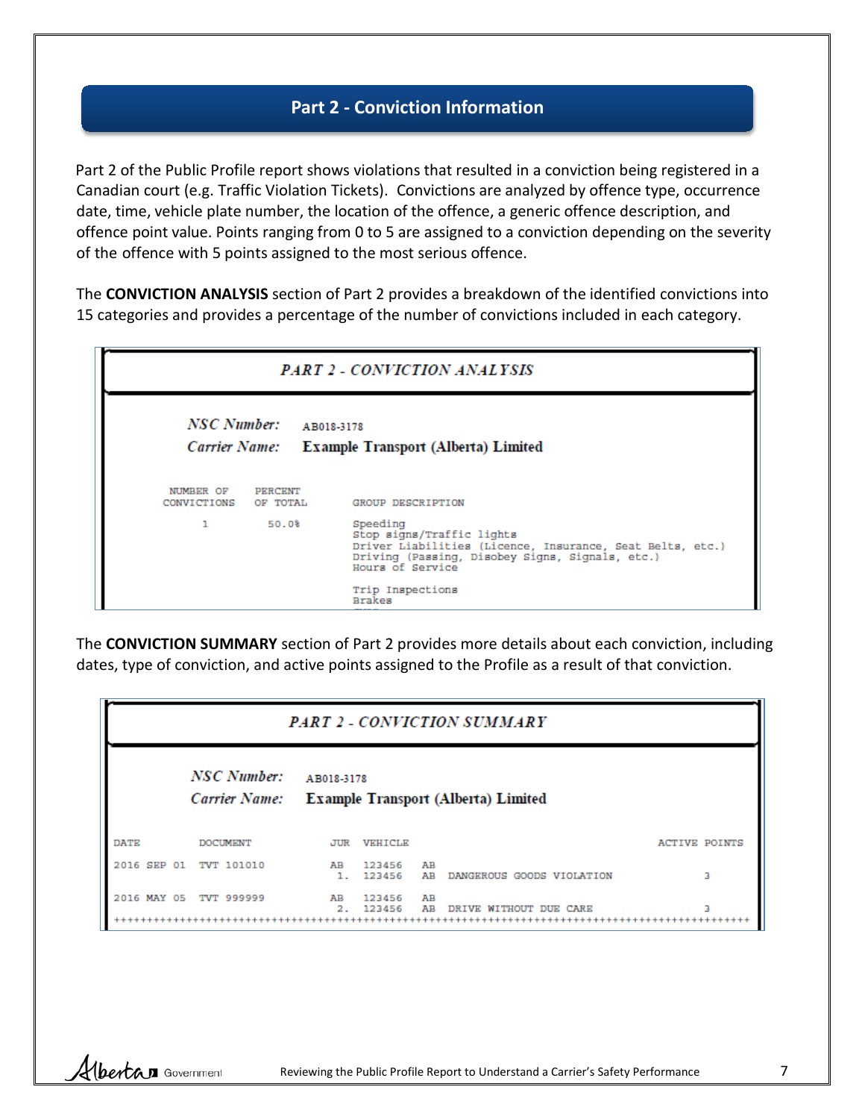#### **Part 2 - Conviction Information**

Part 2 of the Public Profile report shows violations that resulted in a conviction being registered in a Canadian court (e.g. Traffic Violation Tickets). Convictions are analyzed by offence type, occurrence date, time, vehicle plate number, the location of the offence, a generic offence description, and offence point value. Points ranging from 0 to 5 are assigned to a conviction depending on the severity of the offence with 5 points assigned to the most serious offence.

The **CONVICTION ANALYSIS** section of Part 2 provides a breakdown of the identified convictions into 15 categories and provides a percentage of the number of convictions included in each category.

|                               | <b>PART 2 - CONVICTION ANALYSIS</b> |                                                                                                                                                                                   |  |  |  |  |  |  |
|-------------------------------|-------------------------------------|-----------------------------------------------------------------------------------------------------------------------------------------------------------------------------------|--|--|--|--|--|--|
| NSC Number:                   | AB018-3178                          | Carrier Name: Example Transport (Alberta) Limited                                                                                                                                 |  |  |  |  |  |  |
| NUMBER OF<br>CONVICTIONS<br>ı | PERCENT<br>OF TOTAL<br>50.0%        | GROUP DESCRIPTION<br>Speeding                                                                                                                                                     |  |  |  |  |  |  |
|                               |                                     | Stop signs/Traffic lights<br>Driver Liabilities (Licence, Insurance, Seat Belts, etc.)<br>Driving (Passing, Disobey Signs, Signals, etc.)<br>Hours of Service<br>Trip Inspections |  |  |  |  |  |  |

The **CONVICTION SUMMARY** section of Part 2 provides more details about each conviction, including dates, type of conviction, and active points assigned to the Profile as a result of that conviction.

| ∽                 | PART 2 - CONVICTION SUMMARY  |            |                  |          |                                            |                      |  |  |
|-------------------|------------------------------|------------|------------------|----------|--------------------------------------------|----------------------|--|--|
|                   | NSC Number:<br>Carrier Name: | AB018-3178 |                  |          | <b>Example Transport (Alberta) Limited</b> |                      |  |  |
| DATE              | <b>DOCUMENT</b>              | JUR        | VEHICIAE         |          |                                            | <b>ACTIVE POINTS</b> |  |  |
| SEP<br>2016<br>01 | TVT 101010                   | AB<br>1.   | 123456<br>123456 | AВ<br>AВ | DANGEROUS GOODS VIOLATION                  | з                    |  |  |
| 2016<br>MAY<br>05 | TVT 999999                   | AВ<br>2.   | 123456<br>123456 | AB<br>AВ | DRIVE WITHOUT DUE CARE                     | з                    |  |  |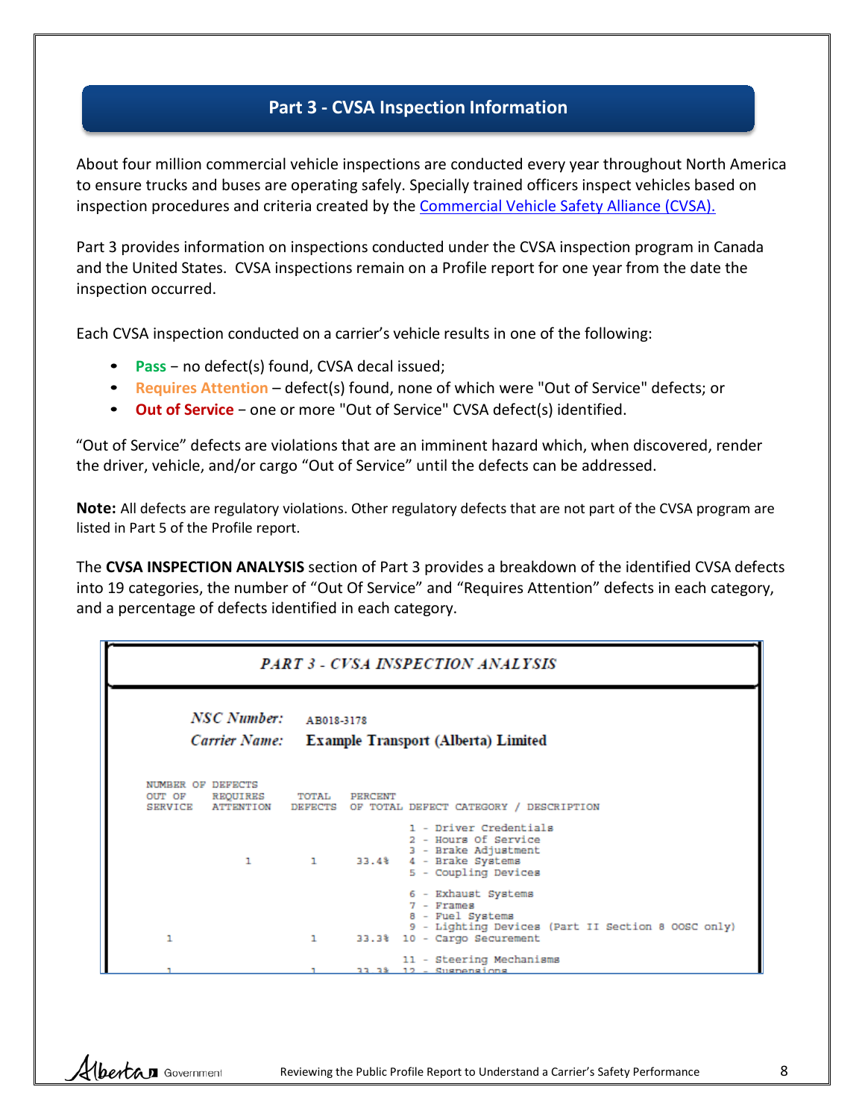### **Part 3 - CVSA Inspection Information**

About four million commercial vehicle inspections are conducted every year throughout North America to ensure trucks and buses are operating safely. Specially trained officers inspect vehicles based on inspection procedures and criteria created by the [Commercial Vehicle Safety Alliance \(CVSA\).](http://www.cvsa.org/home.php)

Part 3 provides information on inspections conducted under the CVSA inspection program in Canada and the United States. CVSA inspections remain on a Profile report for one year from the date the inspection occurred.

Each CVSA inspection conducted on a carrier's vehicle results in one of the following:

- **Pass** − no defect(s) found, CVSA decal issued;
- **Requires Attention** defect(s) found, none of which were "Out of Service" defects; or
- **Out of Service** − one or more "Out of Service" CVSA defect(s) identified.

"Out of Service" defects are violations that are an imminent hazard which, when discovered, render the driver, vehicle, and/or cargo "Out of Service" until the defects can be addressed.

**Note:** All defects are regulatory violations. Other regulatory defects that are not part of the CVSA program are listed in Part 5 of the Profile report.

The **CVSA INSPECTION ANALYSIS** section of Part 3 provides a breakdown of the identified CVSA defects into 19 categories, the number of "Out Of Service" and "Requires Attention" defects in each category, and a percentage of defects identified in each category.

#### **PART 3 - CVSA INSPECTION ANALYSIS**

|    | NSC Number:                                               | AB018-3178   | Carrier Name: Example Transport (Alberta) Limited                                                                                          |  |
|----|-----------------------------------------------------------|--------------|--------------------------------------------------------------------------------------------------------------------------------------------|--|
|    | NUMBER OF DEFECTS<br>OUT OF REQUIRES<br>SERVICE ATTENTION | TOTAL        | PERCENT<br>DEFECTS OF TOTAL DEFECT CATEGORY / DESCRIPTION                                                                                  |  |
|    | 1                                                         | $\mathbf{1}$ | 1 - Driver Credentials<br>2 - Hours Of Service<br>3 - Brake Adjustment<br>33.4% 4 - Brake Systems<br>5 - Coupling Devices                  |  |
| ı  |                                                           | ı            | 6 - Exhaust Systems<br>7 - Frames<br>8 - Fuel Systems<br>9 - Lighting Devices (Part II Section 8 OOSC only)<br>33.3% 10 - Cargo Securement |  |
| п. |                                                           |              | 11 - Steering Mechanisms<br>11 13 19 - Cuanonainne                                                                                         |  |

(bertan Government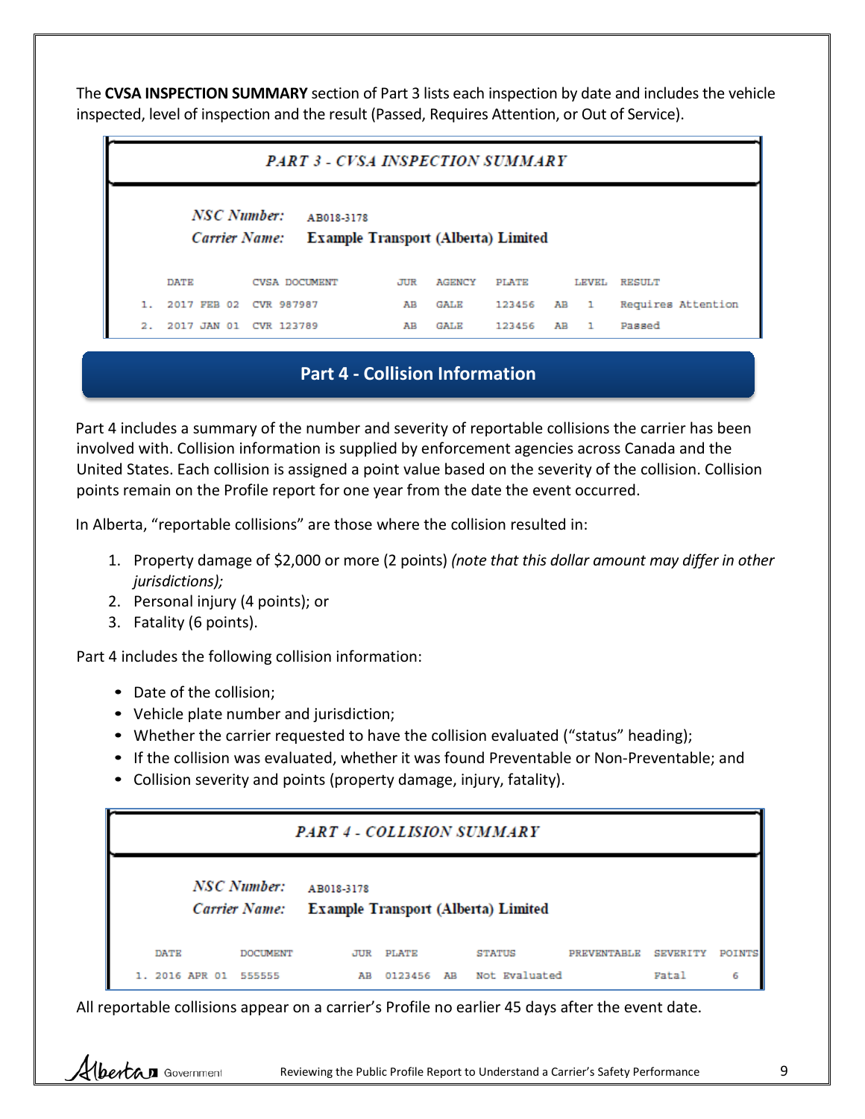The **CVSA INSPECTION SUMMARY** section of Part 3 lists each inspection by date and includes the vehicle inspected, level of inspection and the result (Passed, Requires Attention, or Out of Service).

| <b>PART 3 - CVSA INSPECTION SUMMARY</b> |                        |                                                                 |     |        |              |    |              |                    |
|-----------------------------------------|------------------------|-----------------------------------------------------------------|-----|--------|--------------|----|--------------|--------------------|
|                                         | NSC Number:            | AB018-3178<br>Carrier Name: Example Transport (Alberta) Limited |     |        |              |    |              |                    |
|                                         | <b>DATE</b>            | CVSA DOCUMENT                                                   | JUR | AGENCY | <b>PLATE</b> |    | LEVEL        | <b>RESULT</b>      |
|                                         | 2017 FEB 02            | CVR 987987                                                      | AВ  | GALE   | 123456       | AВ | $\mathbf{1}$ | Requires Attention |
| 2.                                      | 2017 JAN 01 CVR 123789 |                                                                 | AВ  | GALE   | 123456       | AB | $\mathbf{1}$ | Passed             |

### **Part 4 - Collision Information**

Part 4 includes a summary of the number and severity of reportable collisions the carrier has been involved with. Collision information is supplied by enforcement agencies across Canada and the United States. Each collision is assigned a point value based on the severity of the collision. Collision points remain on the Profile report for one year from the date the event occurred.

In Alberta, "reportable collisions" are those where the collision resulted in:

- 1. Property damage of \$2,000 or more (2 points) *(note that this dollar amount may differ in other jurisdictions);*
- 2. Personal injury (4 points); or
- 3. Fatality (6 points).

Part 4 includes the following collision information:

• Date of the collision;

Hbertan Government

- Vehicle plate number and jurisdiction;
- Whether the carrier requested to have the collision evaluated ("status" heading);
- If the collision was evaluated, whether it was found Preventable or Non-Preventable; and
- Collision severity and points (property damage, injury, fatality).

|             | <b>PART 4 - COLLISION SUMMARY</b>                                              |  |                  |  |                         |             |          |        |  |
|-------------|--------------------------------------------------------------------------------|--|------------------|--|-------------------------|-------------|----------|--------|--|
|             | NSC Number:<br>AB018-3178<br>Carrier Name: Example Transport (Alberta) Limited |  |                  |  |                         |             |          |        |  |
| <b>DATE</b> | DOCUMENT                                                                       |  | <b>JUR PLATE</b> |  | STATUS<br>Not Evaluated | PREVENTABLE | SEVERITY | POINTS |  |

All reportable collisions appear on a carrier's Profile no earlier 45 days after the event date.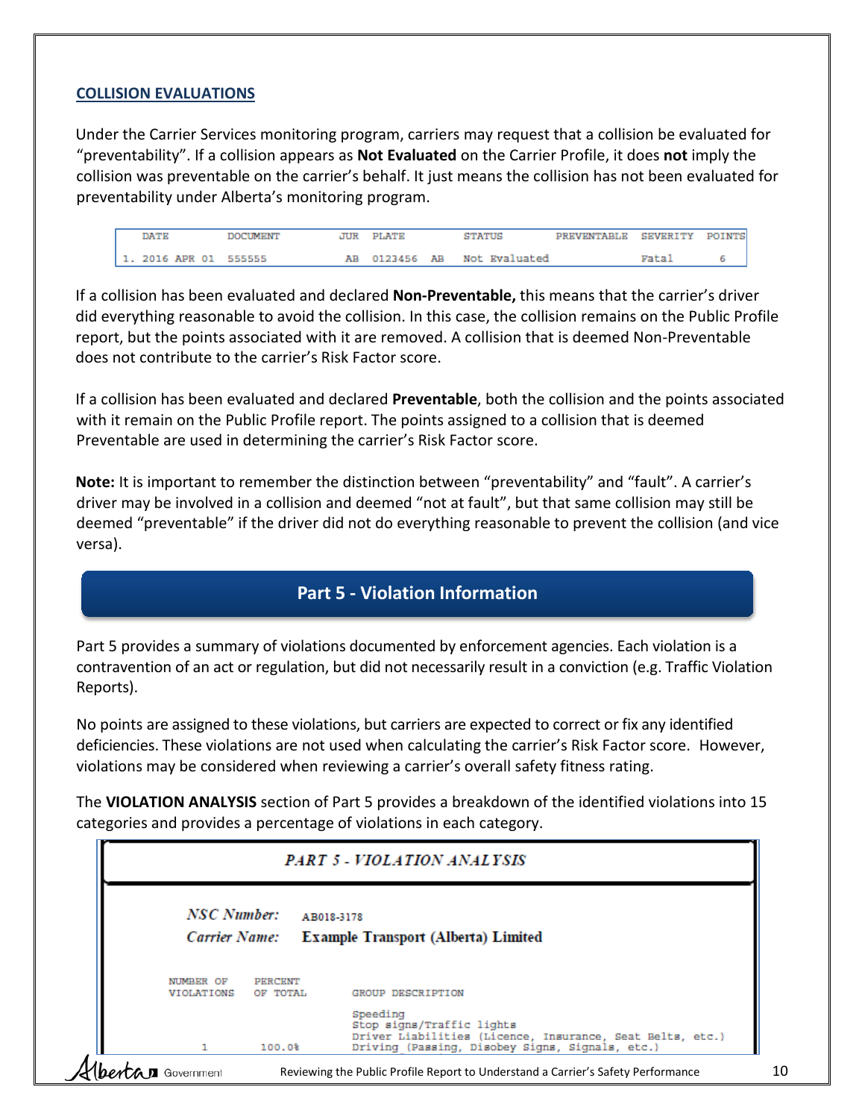#### **COLLISION EVALUATIONS**

Under the Carrier Services monitoring program, carriers may request that a collision be evaluated for "preventability". If a collision appears as **Not Evaluated** on the Carrier Profile, it does **not** imply the collision was preventable on the carrier's behalf. It just means the collision has not been evaluated for preventability under Alberta's monitoring program.

| DATE                  | <b>DOCUMENT</b> | JUR PLATE | STATUS                      | PREVENTABLE SEVERITY POINTS |               |  |
|-----------------------|-----------------|-----------|-----------------------------|-----------------------------|---------------|--|
| 1. 2016 APR 01 555555 |                 |           | AB 0123456 AB Not Evaluated |                             | <b>Vata</b> ) |  |

If a collision has been evaluated and declared **Non-Preventable,** this means that the carrier's driver did everything reasonable to avoid the collision. In this case, the collision remains on the Public Profile report, but the points associated with it are removed. A collision that is deemed Non-Preventable does not contribute to the carrier's Risk Factor score.

If a collision has been evaluated and declared **Preventable**, both the collision and the points associated with it remain on the Public Profile report. The points assigned to a collision that is deemed Preventable are used in determining the carrier's Risk Factor score.

**Note:** It is important to remember the distinction between "preventability" and "fault". A carrier's driver may be involved in a collision and deemed "not at fault", but that same collision may still be deemed "preventable" if the driver did not do everything reasonable to prevent the collision (and vice versa).

### **Part 5 - Violation Information**

Part 5 provides a summary of violations documented by enforcement agencies. Each violation is a contravention of an act or regulation, but did not necessarily result in a conviction (e.g. Traffic Violation Reports).

No points are assigned to these violations, but carriers are expected to correct or fix any identified deficiencies. These violations are not used when calculating the carrier's Risk Factor score. However, violations may be considered when reviewing a carrier's overall safety fitness rating.

The **VIOLATION ANALYSIS** section of Part 5 provides a breakdown of the identified violations into 15 categories and provides a percentage of violations in each category.

| <b>PART 5 - VIOLATION ANALYSIS</b> |                            |            |                                                                                                                                                       |  |  |  |  |
|------------------------------------|----------------------------|------------|-------------------------------------------------------------------------------------------------------------------------------------------------------|--|--|--|--|
| NSC Number:<br>Carrier Name:       |                            | AB018-3178 | <b>Example Transport (Alberta) Limited</b>                                                                                                            |  |  |  |  |
| NUMBER OF<br><b>VIOLATIONS</b>     | <b>PERCENT</b><br>OF TOTAL |            | GROUP DESCRIPTION                                                                                                                                     |  |  |  |  |
|                                    | 100.0%                     |            | Speeding<br>Stop signs/Traffic lights<br>Driver Liabilities (Licence, Insurance, Seat Belts, etc.)<br>Driving (Passing, Disobey Signs, Signals, etc.) |  |  |  |  |
| Government                         |                            |            | Reviewing the Public Profile Report to Understand a Carrier's Safety Performance                                                                      |  |  |  |  |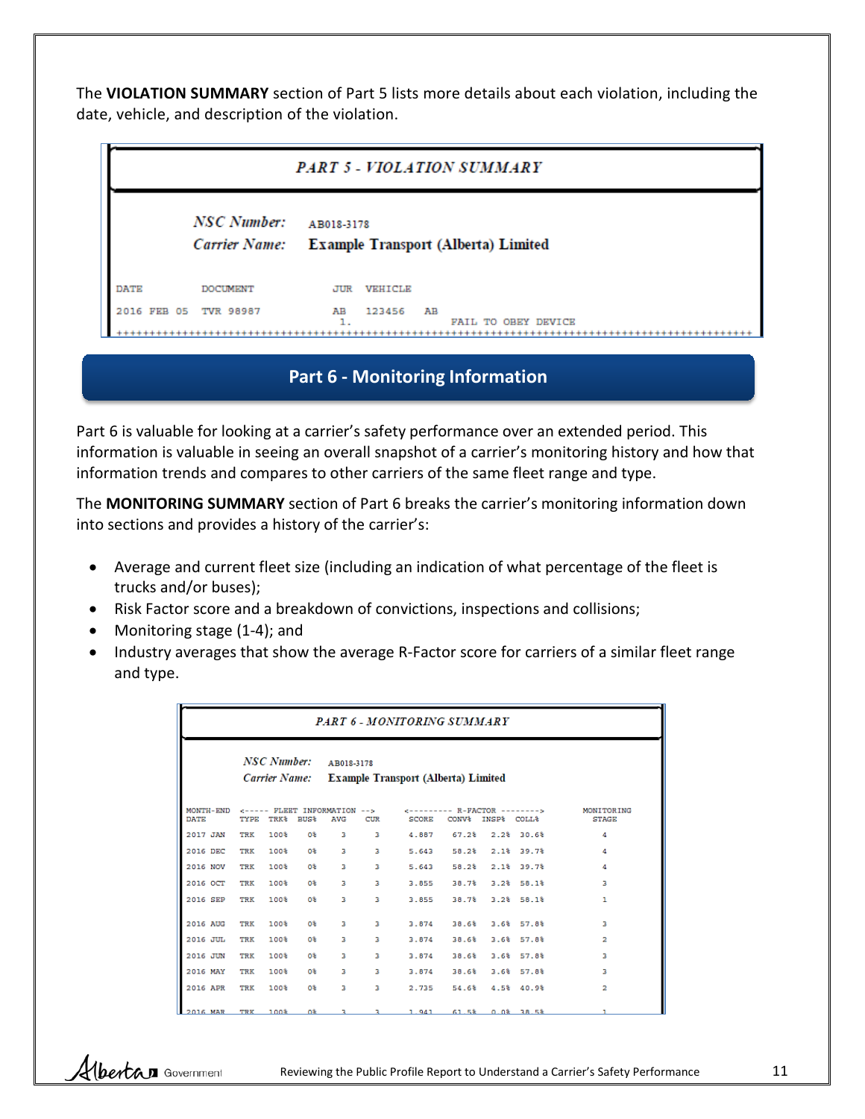The **VIOLATION SUMMARY** section of Part 5 lists more details about each violation, including the date, vehicle, and description of the violation.

| PART 5 - VIOLATION SUMMARY |                 |            |                |    |                                                   |  |  |  |
|----------------------------|-----------------|------------|----------------|----|---------------------------------------------------|--|--|--|
|                            | NSC Number:     | AB018-3178 |                |    | Carrier Name: Example Transport (Alberta) Limited |  |  |  |
| <b>DATE</b>                | <b>DOCUMENT</b> | JUR        | <b>VEHICLE</b> |    |                                                   |  |  |  |
| 2016 FEB 05                | TVR 98987       | AВ         | 123456         | AВ | FAIL TO OBEY DEVICE                               |  |  |  |

### **Part 6 - Monitoring Information**

Part 6 is valuable for looking at a carrier's safety performance over an extended period. This information is valuable in seeing an overall snapshot of a carrier's monitoring history and how that information trends and compares to other carriers of the same fleet range and type.

The **MONITORING SUMMARY** section of Part 6 breaks the carrier's monitoring information down into sections and provides a history of the carrier's:

- Average and current fleet size (including an indication of what percentage of the fleet is trucks and/or buses);
- Risk Factor score and a breakdown of convictions, inspections and collisions;
- Monitoring stage (1-4); and
- Industry averages that show the average R-Factor score for carriers of a similar fleet range and type.

| <b>PART 6 - MONITORING SUMMARY</b> |             |                         |                  |                                                                 |     |                                              |                      |  |            |                            |  |  |
|------------------------------------|-------------|-------------------------|------------------|-----------------------------------------------------------------|-----|----------------------------------------------|----------------------|--|------------|----------------------------|--|--|
|                                    | NSC Number: |                         |                  | AB018-3178<br>Carrier Name: Example Transport (Alberta) Limited |     |                                              |                      |  |            |                            |  |  |
| MONTH-END<br>DATE                  | TYPE        | <b>TRK<sup>\$</sup></b> | BUS <sup>§</sup> | <----- FLEET INFORMATION --><br><b>AVG</b>                      | CUR | $c$ --------- $R$ -FACTOR --------><br>SCORE | CONV& INSP& COLL&    |  |            | MONITORING<br><b>STAGE</b> |  |  |
| 2017 JAN                           | TRK         | 100%                    | O%               | в                                                               | 3   | 4.887                                        | 67.2%                |  | 2.2%30.6%  | 4                          |  |  |
| 2016 DEC                           | TRK         | 100%                    | o‰               | в                                                               | 3   | 5.643                                        | $58.2%$ 2.1% 39.7%   |  |            | 4                          |  |  |
| 2016 NOV                           | TRK         | 100%                    | O%               | в                                                               | з   | 5.643                                        | 58.2% 2.1% 39.7%     |  |            | 4                          |  |  |
| 2016 OCT                           | TRK         | 100%                    | O%               | в                                                               | з   | 3.855                                        | $38.7%$ $3.2%$ 58.1% |  |            | х                          |  |  |
| 2016 SEP                           | TRK         | 100%                    | 0%               | в                                                               | в   | 3.855                                        | 38.7%                |  | 3.2%58.1%  | ı                          |  |  |
| 2016 AUG                           | TRK         | 100%                    | 0%               | в                                                               | в   | 3.874                                        | 38.6%                |  | 3.6% 57.8% | з                          |  |  |
| 2016 JUL                           | TRK         | 100%                    | O%.              | в                                                               | 3.  | 3.874                                        | 38.6%                |  | 3.6%57.8%  | 2                          |  |  |
| 2016 JUN                           | TRK         | 100%                    | O%               | в                                                               | 3   | 3.874                                        | 38.6%                |  | 3.6%57.8%  | з                          |  |  |
| 2016 MAY                           | TRK         | 100%                    | 0%               | в                                                               | з   | 3.874                                        | 38.6%                |  | 3.6%57.8%  | з                          |  |  |
| 2016 APR                           | TRK         | 100%                    | 0%               | в                                                               | з   | 2.735                                        | 54.6% 4.5% 40.9%     |  |            | $\overline{\mathbf{2}}$    |  |  |
| 2016 MAR                           |             | TRK 100%                |                  |                                                                 |     | 08 3 3 1.941 61.58 0.08 38.58                |                      |  |            |                            |  |  |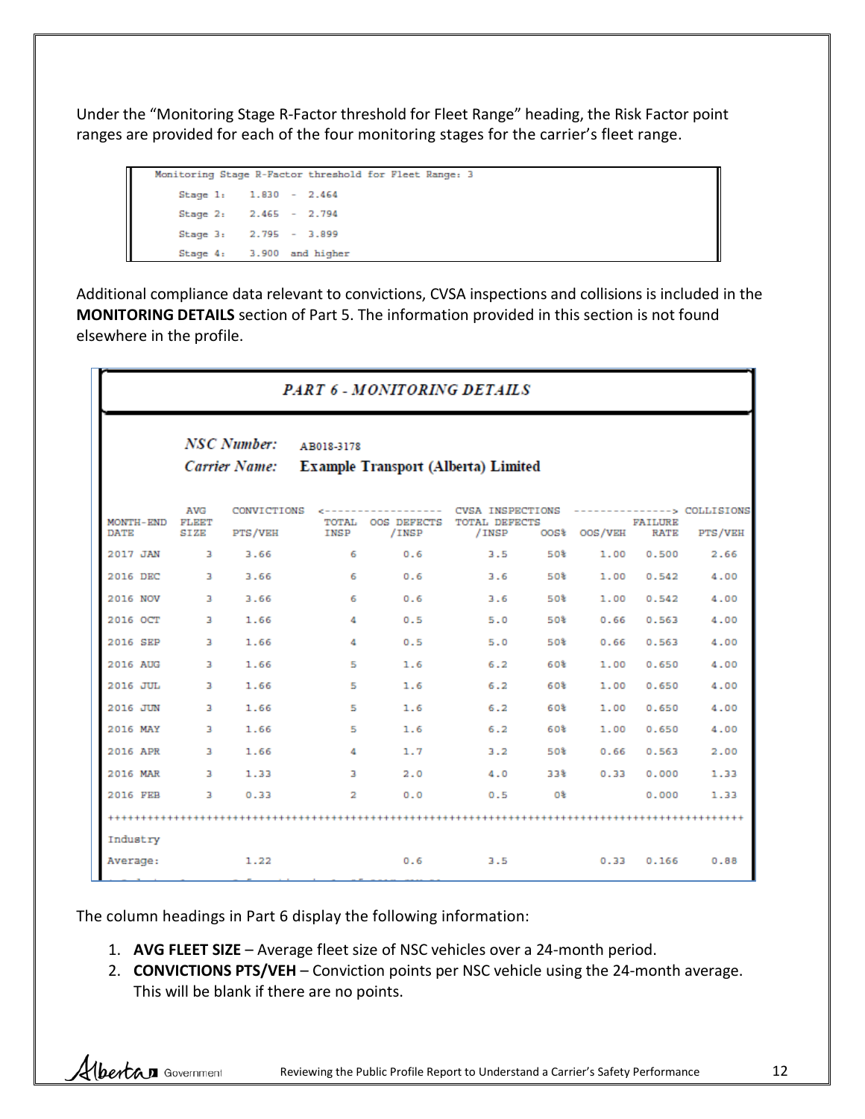Under the "Monitoring Stage R-Factor threshold for Fleet Range" heading, the Risk Factor point ranges are provided for each of the four monitoring stages for the carrier's fleet range.

```
Monitoring Stage R-Factor threshold for Fleet Range: 3
Stage 1: 1.830 - 2.464
Stage 2: 2.465 - 2.794
Stage 3:
          2.795 - 3.899
Stage 4:
          3.900 and higher
```
Additional compliance data relevant to convictions, CVSA inspections and collisions is included in the **MONITORING DETAILS** section of Part 5. The information provided in this section is not found elsewhere in the profile.

| <b>PART 6 - MONITORING DETAILS</b> |                             |                                            |                                                          |                                                                                  |            |            |                 |                               |                                        |  |  |  |
|------------------------------------|-----------------------------|--------------------------------------------|----------------------------------------------------------|----------------------------------------------------------------------------------|------------|------------|-----------------|-------------------------------|----------------------------------------|--|--|--|
|                                    |                             | <b>NSC Number:</b><br><b>Carrier Name:</b> | AB018-3178<br><b>Example Transport (Alberta) Limited</b> |                                                                                  |            |            |                 |                               |                                        |  |  |  |
| MONTH-END<br><b>DATE</b>           | <b>AVG</b><br>FLEET<br>SIZE | CONVICTIONS<br>PTS/VEH                     | INSP                                                     | c------------------ CVSA INSPECTIONS<br>TOTAL OOS DEFECTS TOTAL DEFECTS<br>/INSP | /INSP      | OOS%       | OOS/VEH         | <b>FAILURE</b><br><b>RATE</b> | ---------------> COLLISIONS<br>PTS/VEH |  |  |  |
| 2017 JAN                           | в                           | 3.66                                       | 6                                                        | 0.6                                                                              | 3.5        | 50%        | 1.00            | 0.500                         | 2.66                                   |  |  |  |
| 2016 DEC                           | в                           | 3.66                                       | 6                                                        | 0.6                                                                              | 3.6        | 50%        | 1.00            | 0.542                         | 4.00                                   |  |  |  |
| 2016 NOV                           | $\overline{3}$              | 3.66                                       | 6                                                        | 0.6                                                                              | 3.6        | 50% -      | 1.00            | 0.542                         | 4.00                                   |  |  |  |
| 2016 OCT                           | в                           | 1.66                                       | 4                                                        | 0.5                                                                              | 5.0        | 50%        | 0.66            | 0.563                         | 4.00                                   |  |  |  |
| 2016 SEP                           | 3                           | 1.66                                       | 4                                                        | 0.5                                                                              | 5.0        | 50%        | 0.66            | 0.563                         | 4.00                                   |  |  |  |
| 2016 AUG                           | 3                           | 1.66                                       | 5                                                        | 1.6                                                                              | 6.2        | 60%        | 1,00            | 0.650                         | 4.00                                   |  |  |  |
| 2016 JUL                           | 3                           | 1.66                                       | 5                                                        | 1.6                                                                              | 6.2        | 60%        | 1.00            | 0.650                         | 4.00                                   |  |  |  |
| 2016 JUN<br>2016 MAY               | 3<br>в                      | 1.66<br>1.66                               | 5<br>5                                                   | 1.6<br>1.6                                                                       | 6.2<br>6.2 | 60%<br>60% | 1.00<br>1.00    | 0.650<br>0.650                | 4.00<br>4.00                           |  |  |  |
| 2016 APR                           | в                           | 1.66                                       | 4                                                        | 1.7                                                                              | 3.2        |            | 50% (1)<br>0.66 | 0.563                         | 2.00                                   |  |  |  |
| 2016 MAR                           | 3                           | 1.33                                       | $\overline{a}$                                           | 2.0                                                                              | 4.0        | 33%        | 0.33            | 0.000                         | 1.33                                   |  |  |  |
| 2016 FEB                           | 3                           | 0.33                                       | $\overline{2}$                                           | 0.0                                                                              | 0.5        | O%         |                 | 0.000                         | 1.33                                   |  |  |  |
|                                    |                             |                                            |                                                          |                                                                                  |            |            |                 |                               |                                        |  |  |  |
| Industry                           |                             |                                            |                                                          |                                                                                  |            |            |                 |                               |                                        |  |  |  |
| Average:                           |                             | 1.22                                       |                                                          | 0.6                                                                              | 3.5        |            | 0.33            | 0.166                         | 0.88                                   |  |  |  |

The column headings in Part 6 display the following information:

- 1. **AVG FLEET SIZE** Average fleet size of NSC vehicles over a 24-month period.
- 2. **CONVICTIONS PTS/VEH** Conviction points per NSC vehicle using the 24-month average. This will be blank if there are no points.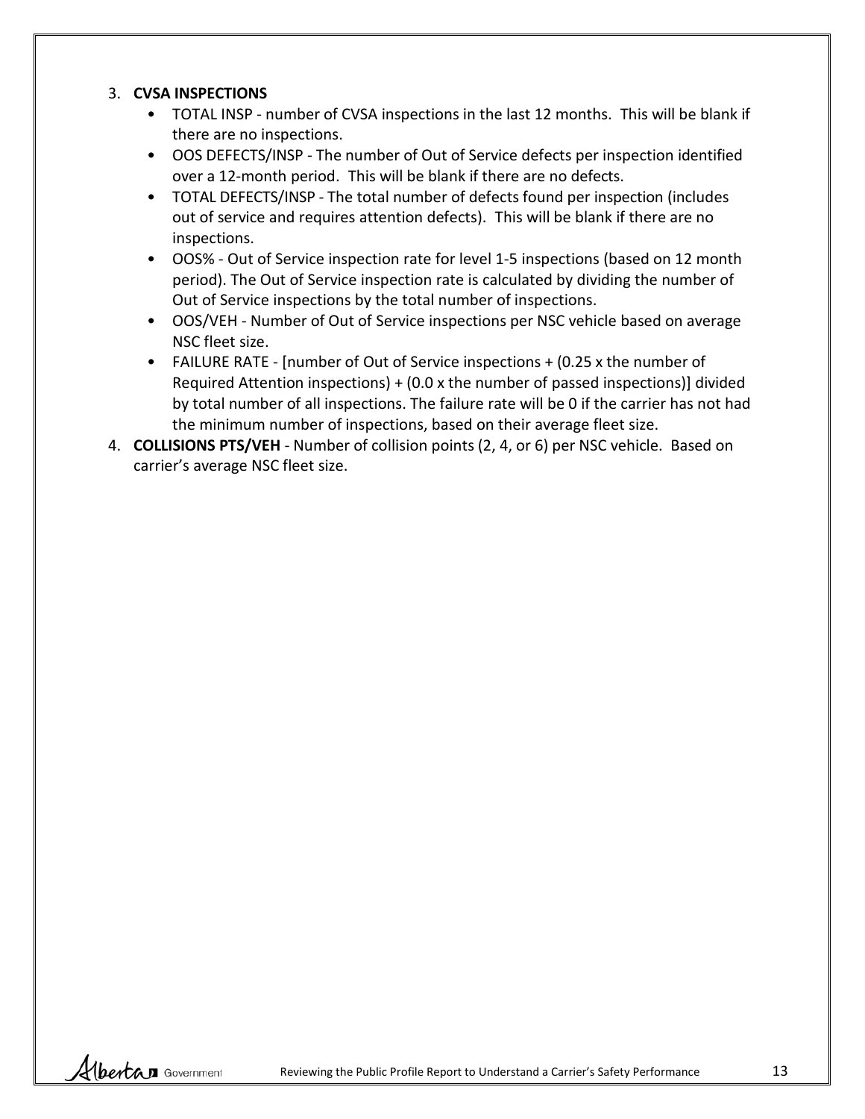#### 3. **CVSA INSPECTIONS**

- TOTAL INSP number of CVSA inspections in the last 12 months. This will be blank if there are no inspections.
- OOS DEFECTS/INSP The number of Out of Service defects per inspection identified over a 12-month period. This will be blank if there are no defects.
- TOTAL DEFECTS/INSP The total number of defects found per inspection (includes out of service and requires attention defects). This will be blank if there are no inspections.
- OOS% Out of Service inspection rate for level 1-5 inspections (based on 12 month period). The Out of Service inspection rate is calculated by dividing the number of Out of Service inspections by the total number of inspections.
- OOS/VEH Number of Out of Service inspections per NSC vehicle based on average NSC fleet size.
- FAILURE RATE [number of Out of Service inspections + (0.25 x the number of Required Attention inspections) + (0.0 x the number of passed inspections)] divided by total number of all inspections. The failure rate will be 0 if the carrier has not had the minimum number of inspections, based on their average fleet size.
- 4. **COLLISIONS PTS/VEH** Number of collision points (2, 4, or 6) per NSC vehicle. Based on carrier's average NSC fleet size.

Hbertan Government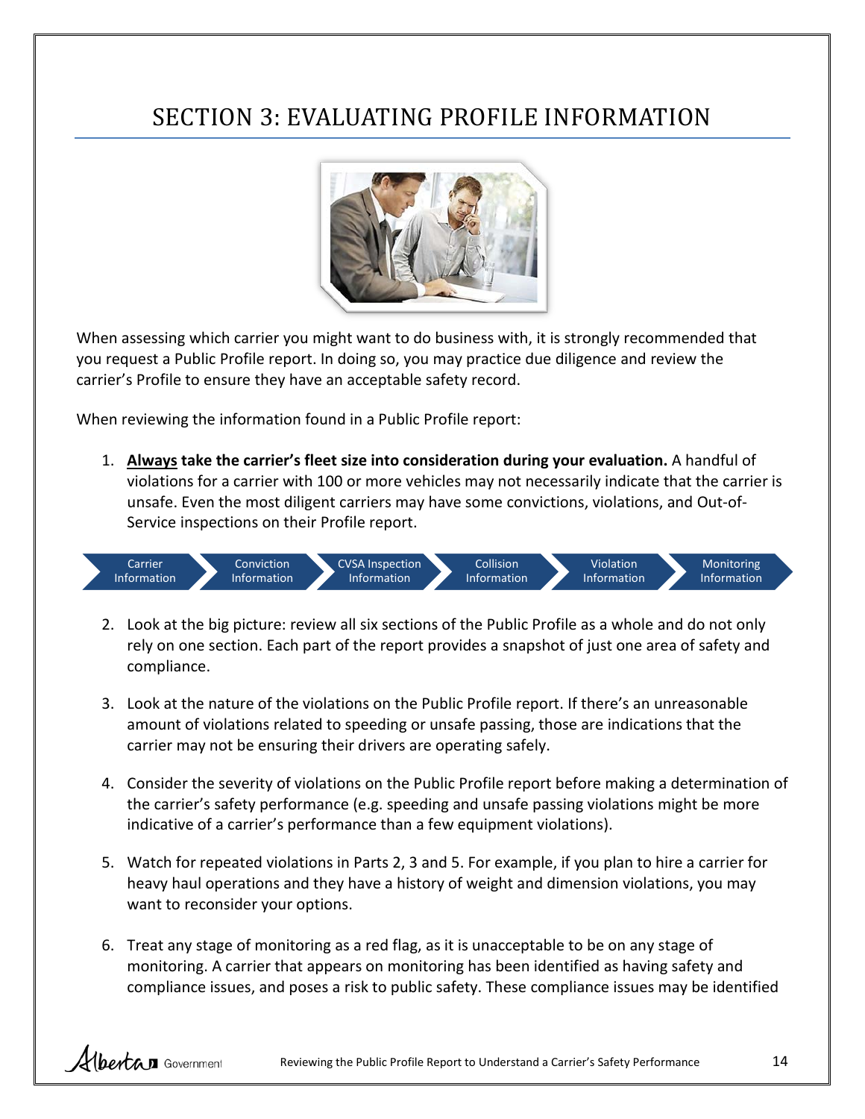# <span id="page-13-0"></span>SECTION 3: EVALUATING PROFILE INFORMATION



When assessing which carrier you might want to do business with, it is strongly recommended that you request a Public Profile report. In doing so, you may practice due diligence and review the carrier's Profile to ensure they have an acceptable safety record.

When reviewing the information found in a Public Profile report:

1. **Always take the carrier's fleet size into consideration during your evaluation.** A handful of violations for a carrier with 100 or more vehicles may not necessarily indicate that the carrier is unsafe. Even the most diligent carriers may have some convictions, violations, and Out-of-Service inspections on their Profile report.



- 2. Look at the big picture: review all six sections of the Public Profile as a whole and do not only rely on one section. Each part of the report provides a snapshot of just one area of safety and compliance.
- 3. Look at the nature of the violations on the Public Profile report. If there's an unreasonable amount of violations related to speeding or unsafe passing, those are indications that the carrier may not be ensuring their drivers are operating safely.
- 4. Consider the severity of violations on the Public Profile report before making a determination of the carrier's safety performance (e.g. speeding and unsafe passing violations might be more indicative of a carrier's performance than a few equipment violations).
- 5. Watch for repeated violations in Parts 2, 3 and 5. For example, if you plan to hire a carrier for heavy haul operations and they have a history of weight and dimension violations, you may want to reconsider your options.
- 6. Treat any stage of monitoring as a red flag, as it is unacceptable to be on any stage of monitoring. A carrier that appears on monitoring has been identified as having safety and compliance issues, and poses a risk to public safety. These compliance issues may be identified

Albertan Government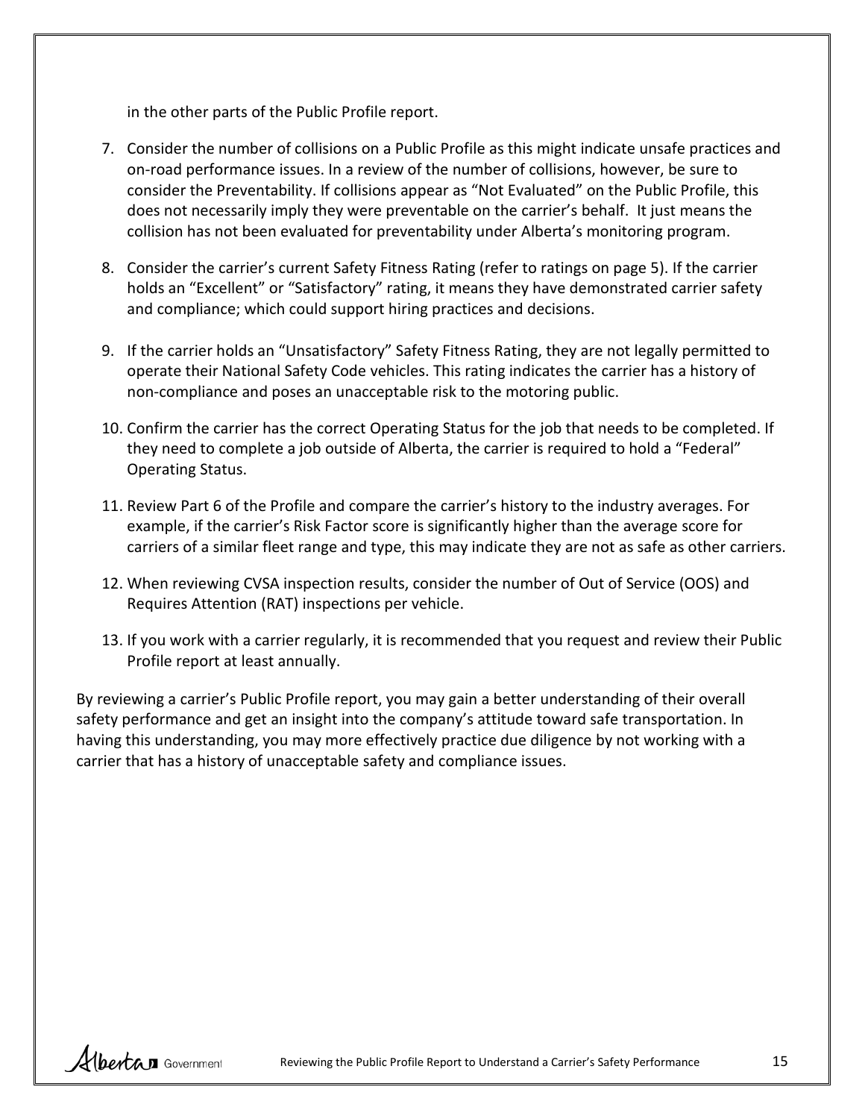in the other parts of the Public Profile report.

- 7. Consider the number of collisions on a Public Profile as this might indicate unsafe practices and on-road performance issues. In a review of the number of collisions, however, be sure to consider the Preventability. If collisions appear as "Not Evaluated" on the Public Profile, this does not necessarily imply they were preventable on the carrier's behalf. It just means the collision has not been evaluated for preventability under Alberta's monitoring program.
- 8. Consider the carrier's current Safety Fitness Rating (refer to ratings on page 5). If the carrier holds an "Excellent" or "Satisfactory" rating, it means they have demonstrated carrier safety and compliance; which could support hiring practices and decisions.
- 9. If the carrier holds an "Unsatisfactory" Safety Fitness Rating, they are not legally permitted to operate their National Safety Code vehicles. This rating indicates the carrier has a history of non-compliance and poses an unacceptable risk to the motoring public.
- 10. Confirm the carrier has the correct Operating Status for the job that needs to be completed. If they need to complete a job outside of Alberta, the carrier is required to hold a "Federal" Operating Status.
- 11. Review Part 6 of the Profile and compare the carrier's history to the industry averages. For example, if the carrier's Risk Factor score is significantly higher than the average score for carriers of a similar fleet range and type, this may indicate they are not as safe as other carriers.
- 12. When reviewing CVSA inspection results, consider the number of Out of Service (OOS) and Requires Attention (RAT) inspections per vehicle.
- 13. If you work with a carrier regularly, it is recommended that you request and review their Public Profile report at least annually.

By reviewing a carrier's Public Profile report, you may gain a better understanding of their overall safety performance and get an insight into the company's attitude toward safe transportation. In having this understanding, you may more effectively practice due diligence by not working with a carrier that has a history of unacceptable safety and compliance issues.